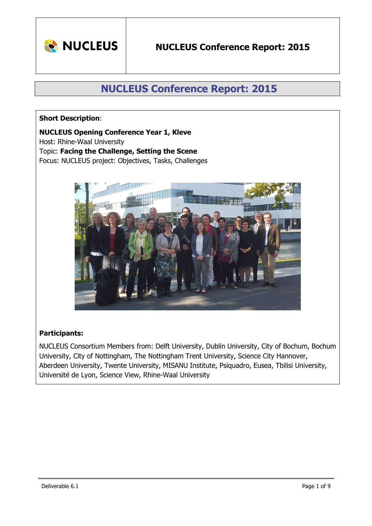

## **NUCLEUS Conference Report: 2015**

#### **Short Description**:

#### **NUCLEUS Opening Conference Year 1, Kleve**

Host: Rhine-Waal University

Topic: **Facing the Challenge, Setting the Scene**

Focus: NUCLEUS project: Objectives, Tasks, Challenges



### **Participants:**

NUCLEUS Consortium Members from: Delft University, Dublin University, City of Bochum, Bochum University, City of Nottingham, The Nottingham Trent University, Science City Hannover, Aberdeen University, Twente University, MISANU Institute, Psiquadro, Eusea, Tbilisi University, Université de Lyon, Science View, Rhine-Waal University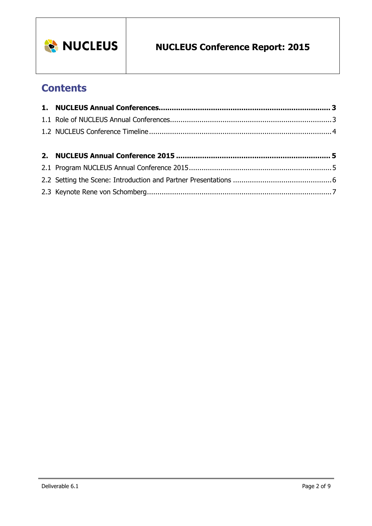

# **Contents**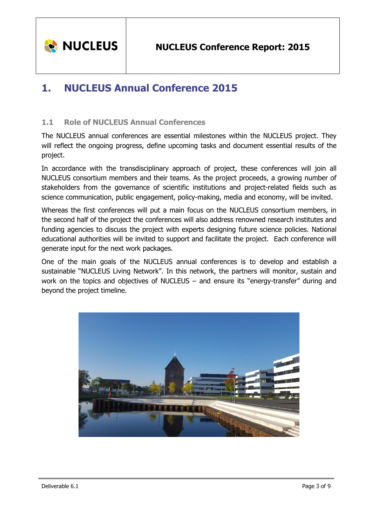

# **1. NUCLEUS Annual Conference 2015**

#### **1.1 Role of NUCLEUS Annual Conferences**

The NUCLEUS annual conferences are essential milestones within the NUCLEUS project. They will reflect the ongoing progress, define upcoming tasks and document essential results of the project.

In accordance with the transdisciplinary approach of project, these conferences will join all NUCLEUS consortium members and their teams. As the project proceeds, a growing number of stakeholders from the governance of scientific institutions and project-related fields such as science communication, public engagement, policy-making, media and economy, will be invited.

Whereas the first conferences will put a main focus on the NUCLEUS consortium members, in the second half of the project the conferences will also address renowned research institutes and funding agencies to discuss the project with experts designing future science policies. National educational authorities will be invited to support and facilitate the project. Each conference will generate input for the next work packages.

One of the main goals of the NUCLEUS annual conferences is to develop and establish a sustainable "NUCLEUS Living Network". In this network, the partners will monitor, sustain and work on the topics and objectives of NUCLEUS – and ensure its "energy-transfer" during and beyond the project timeline.

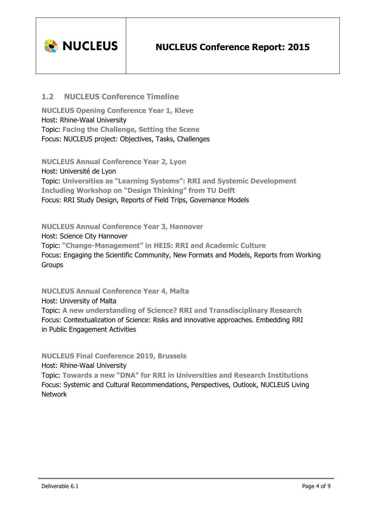

#### **1.2 NUCLEUS Conference Timeline**

**NUCLEUS Opening Conference Year 1, Kleve** Host: Rhine-Waal University Topic: **Facing the Challenge, Setting the Scene** Focus: NUCLEUS project: Objectives, Tasks, Challenges

**NUCLEUS Annual Conference Year 2, Lyon** Host: Université de Lyon Topic: **Universities as "Learning Systems": RRI and Systemic Development Including Workshop on "Design Thinking" from TU Delft** Focus: RRI Study Design, Reports of Field Trips, Governance Models

**NUCLEUS Annual Conference Year 3, Hannover**

Host: Science City Hannover Topic: **"Change-Management" in HEIS: RRI and Academic Culture** Focus: Engaging the Scientific Community, New Formats and Models, Reports from Working Groups

**NUCLEUS Annual Conference Year 4, Malta**  Host: University of Malta Topic: **A new understanding of Science? RRI and Transdisciplinary Research** Focus: Contextualization of Science: Risks and innovative approaches. Embedding RRI in Public Engagement Activities

**NUCLEUS Final Conference 2019, Brussels** 

Host: Rhine-Waal University

Topic: **Towards a new "DNA" for RRI in Universities and Research Institutions** Focus: Systemic and Cultural Recommendations, Perspectives, Outlook, NUCLEUS Living Network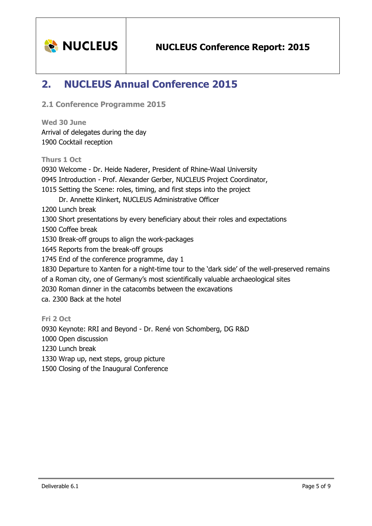

# **2. NUCLEUS Annual Conference 2015**

**2.1 Conference Programme 2015**

**Wed 30 June** Arrival of delegates during the day 1900 Cocktail reception

**Thurs 1 Oct**

0930 Welcome - Dr. Heide Naderer, President of Rhine-Waal University 0945 Introduction - Prof. Alexander Gerber, NUCLEUS Project Coordinator, 1015 Setting the Scene: roles, timing, and first steps into the project Dr. Annette Klinkert, NUCLEUS Administrative Officer 1200 Lunch break 1300 Short presentations by every beneficiary about their roles and expectations 1500 Coffee break 1530 Break-off groups to align the work-packages 1645 Reports from the break-off groups 1745 End of the conference programme, day 1 1830 Departure to Xanten for a night-time tour to the 'dark side' of the well-preserved remains of a Roman city, one of Germany's most scientifically valuable archaeological sites 2030 Roman dinner in the catacombs between the excavations ca. 2300 Back at the hotel **Fri 2 Oct**

0930 Keynote: RRI and Beyond - Dr. René von Schomberg, DG R&D 1000 Open discussion

1230 Lunch break

1330 Wrap up, next steps, group picture

1500 Closing of the Inaugural Conference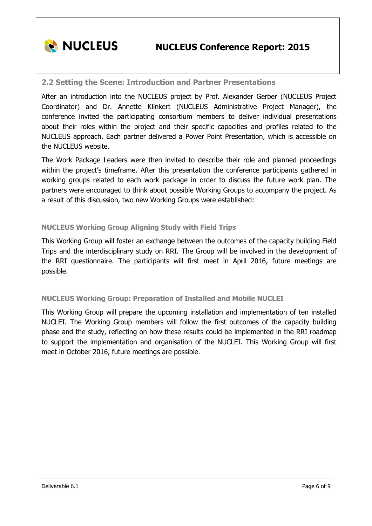### **2.2 Setting the Scene: Introduction and Partner Presentations**

After an introduction into the NUCLEUS project by Prof. Alexander Gerber (NUCLEUS Project Coordinator) and Dr. Annette Klinkert (NUCLEUS Administrative Project Manager), the conference invited the participating consortium members to deliver individual presentations about their roles within the project and their specific capacities and profiles related to the NUCLEUS approach. Each partner delivered a Power Point Presentation, which is accessible on the NUCLEUS website.

The Work Package Leaders were then invited to describe their role and planned proceedings within the project's timeframe. After this presentation the conference participants gathered in working groups related to each work package in order to discuss the future work plan. The partners were encouraged to think about possible Working Groups to accompany the project. As a result of this discussion, two new Working Groups were established:

#### **NUCLEUS Working Group Aligning Study with Field Trips**

This Working Group will foster an exchange between the outcomes of the capacity building Field Trips and the interdisciplinary study on RRI. The Group will be involved in the development of the RRI questionnaire. The participants will first meet in April 2016, future meetings are possible.

#### **NUCLEUS Working Group: Preparation of Installed and Mobile NUCLEI**

This Working Group will prepare the upcoming installation and implementation of ten installed NUCLEI. The Working Group members will follow the first outcomes of the capacity building phase and the study, reflecting on how these results could be implemented in the RRI roadmap to support the implementation and organisation of the NUCLEI. This Working Group will first meet in October 2016, future meetings are possible.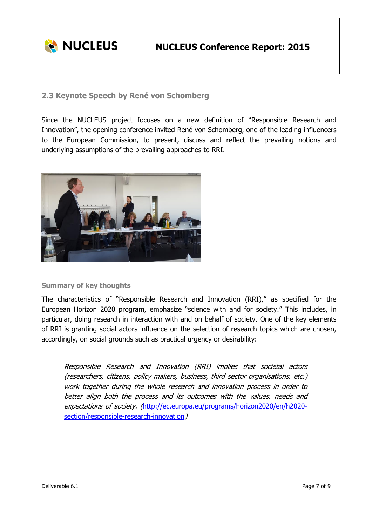

### **NUCLEUS Conference Report: 2015**

#### **2.3 Keynote Speech by René von Schomberg**

Since the NUCLEUS project focuses on a new definition of "Responsible Research and Innovation", the opening conference invited René von Schomberg, one of the leading influencers to the European Commission, to present, discuss and reflect the prevailing notions and underlying assumptions of the prevailing approaches to RRI.



#### **Summary of key thoughts**

The characteristics of "Responsible Research and Innovation (RRI)," as specified for the European Horizon 2020 program, emphasize "science with and for society." This includes, in particular, doing research in interaction with and on behalf of society. One of the key elements of RRI is granting social actors influence on the selection of research topics which are chosen, accordingly, on social grounds such as practical urgency or desirability:

Responsible Research and Innovation (RRI) implies that societal actors (researchers, citizens, policy makers, business, third sector organisations, etc.) work together during the whole research and innovation process in order to better align both the process and its outcomes with the values, needs and expectations of society. ([http://ec.europa.eu/programs/horizon2020/en/h2020](http://ec.europa.eu/programmes/horizon2020/en/h2020-section/responsible-research-innovation) [section/responsible-research-innovation](http://ec.europa.eu/programmes/horizon2020/en/h2020-section/responsible-research-innovation))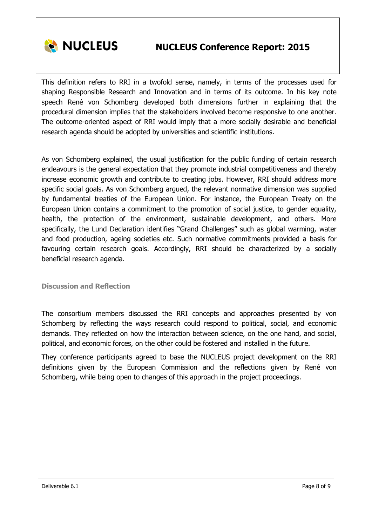

This definition refers to RRI in a twofold sense, namely, in terms of the processes used for shaping Responsible Research and Innovation and in terms of its outcome. In his key note speech René von Schomberg developed both dimensions further in explaining that the procedural dimension implies that the stakeholders involved become responsive to one another. The outcome-oriented aspect of RRI would imply that a more socially desirable and beneficial research agenda should be adopted by universities and scientific institutions.

As von Schomberg explained, the usual justification for the public funding of certain research endeavours is the general expectation that they promote industrial competitiveness and thereby increase economic growth and contribute to creating jobs. However, RRI should address more specific social goals. As von Schomberg argued, the relevant normative dimension was supplied by fundamental treaties of the European Union. For instance, the European Treaty on the European Union contains a commitment to the promotion of social justice, to gender equality, health, the protection of the environment, sustainable development, and others. More specifically, the Lund Declaration identifies "Grand Challenges" such as global warming, water and food production, ageing societies etc. Such normative commitments provided a basis for favouring certain research goals. Accordingly, RRI should be characterized by a socially beneficial research agenda.

#### **Discussion and Reflection**

The consortium members discussed the RRI concepts and approaches presented by von Schomberg by reflecting the ways research could respond to political, social, and economic demands. They reflected on how the interaction between science, on the one hand, and social, political, and economic forces, on the other could be fostered and installed in the future.

They conference participants agreed to base the NUCLEUS project development on the RRI definitions given by the European Commission and the reflections given by René von Schomberg, while being open to changes of this approach in the project proceedings.